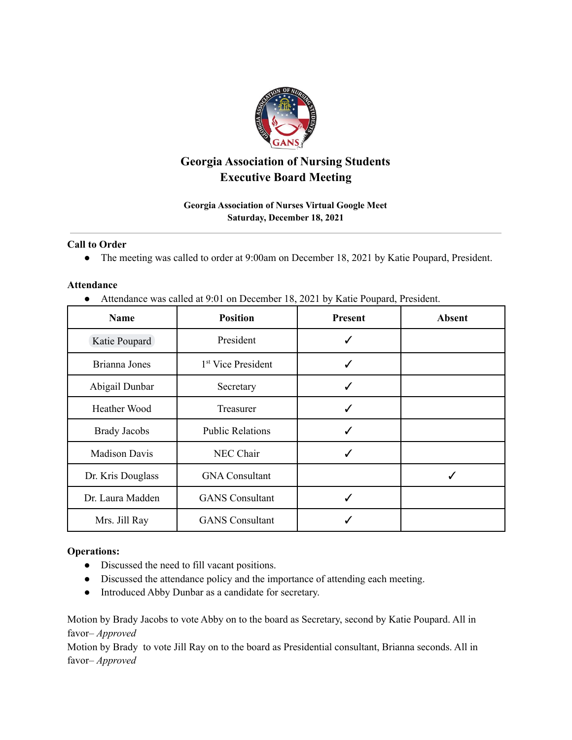

# **Georgia Association of Nursing Students Executive Board Meeting**

## **Georgia Association of Nurses Virtual Google Meet Saturday, December 18, 2021**

### **Call to Order**

● The meeting was called to order at 9:00am on December 18, 2021 by Katie Poupard, President.

### **Attendance**

● Attendance was called at 9:01 on December 18, 2021 by Katie Poupard, President.

| <b>Name</b>          | <b>Position</b>                | <b>Present</b> | <b>Absent</b> |
|----------------------|--------------------------------|----------------|---------------|
| Katie Poupard        | President                      |                |               |
| Brianna Jones        | 1 <sup>st</sup> Vice President |                |               |
| Abigail Dunbar       | Secretary                      |                |               |
| Heather Wood         | Treasurer                      | ✓              |               |
| <b>Brady Jacobs</b>  | <b>Public Relations</b>        |                |               |
| <b>Madison Davis</b> | NEC Chair                      |                |               |
| Dr. Kris Douglass    | <b>GNA Consultant</b>          |                |               |
| Dr. Laura Madden     | <b>GANS</b> Consultant         |                |               |
| Mrs. Jill Ray        | <b>GANS</b> Consultant         |                |               |

## **Operations:**

- Discussed the need to fill vacant positions.
- Discussed the attendance policy and the importance of attending each meeting.
- Introduced Abby Dunbar as a candidate for secretary.

Motion by Brady Jacobs to vote Abby on to the board as Secretary, second by Katie Poupard. All in favor– *Approved*

Motion by Brady to vote Jill Ray on to the board as Presidential consultant, Brianna seconds. All in favor– *Approved*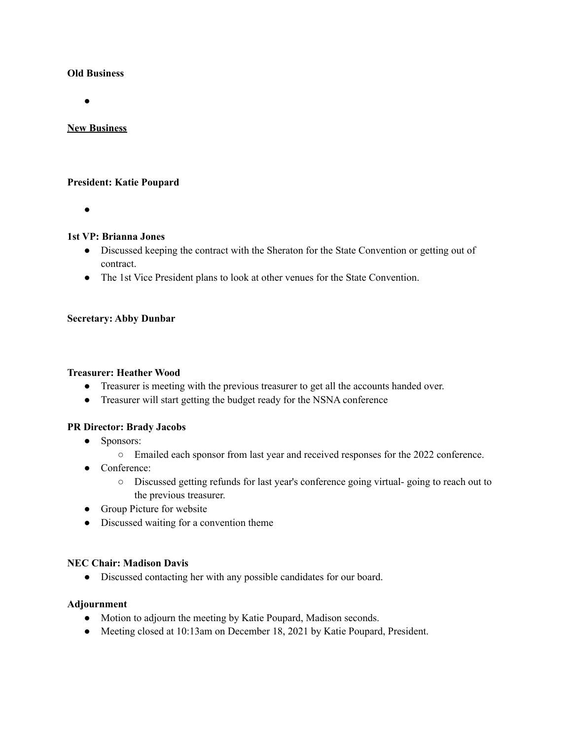### **Old Business**

●

### **New Business**

### **President: Katie Poupard**

●

#### **1st VP: Brianna Jones**

- Discussed keeping the contract with the Sheraton for the State Convention or getting out of contract.
- The 1st Vice President plans to look at other venues for the State Convention.

#### **Secretary: Abby Dunbar**

#### **Treasurer: Heather Wood**

- Treasurer is meeting with the previous treasurer to get all the accounts handed over.
- Treasurer will start getting the budget ready for the NSNA conference

### **PR Director: Brady Jacobs**

- Sponsors:
	- Emailed each sponsor from last year and received responses for the 2022 conference.
- Conference:
	- Discussed getting refunds for last year's conference going virtual- going to reach out to the previous treasurer.
- Group Picture for website
- Discussed waiting for a convention theme

### **NEC Chair: Madison Davis**

● Discussed contacting her with any possible candidates for our board.

### **Adjournment**

- Motion to adjourn the meeting by Katie Poupard, Madison seconds.
- Meeting closed at 10:13am on December 18, 2021 by Katie Poupard, President.